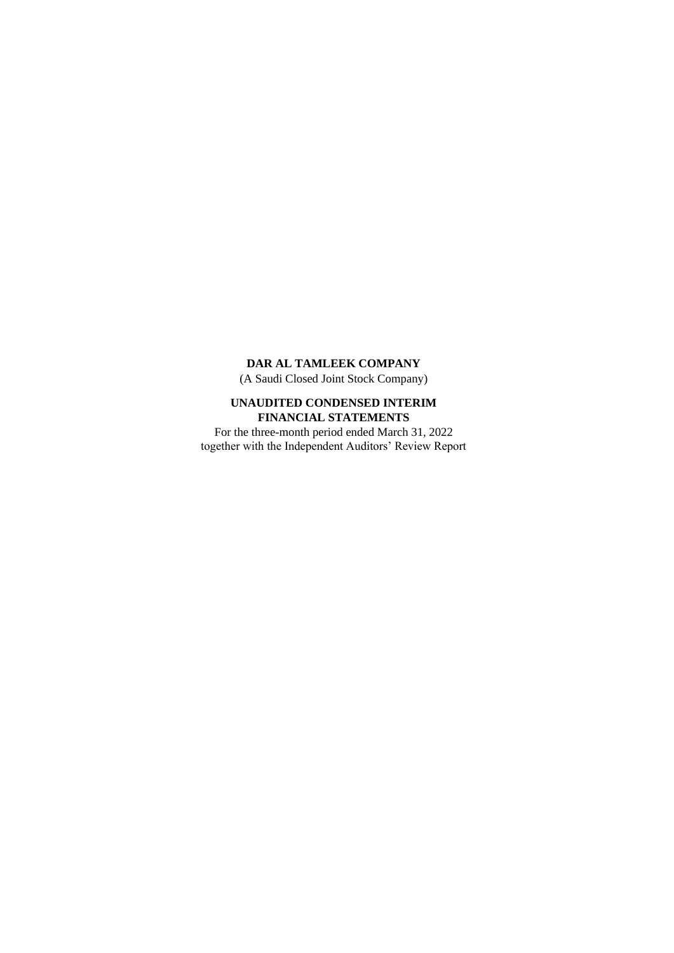(A Saudi Closed Joint Stock Company)

# **UNAUDITED CONDENSED INTERIM FINANCIAL STATEMENTS**

For the three-month period ended March 31, 2022 together with the Independent Auditors' Review Report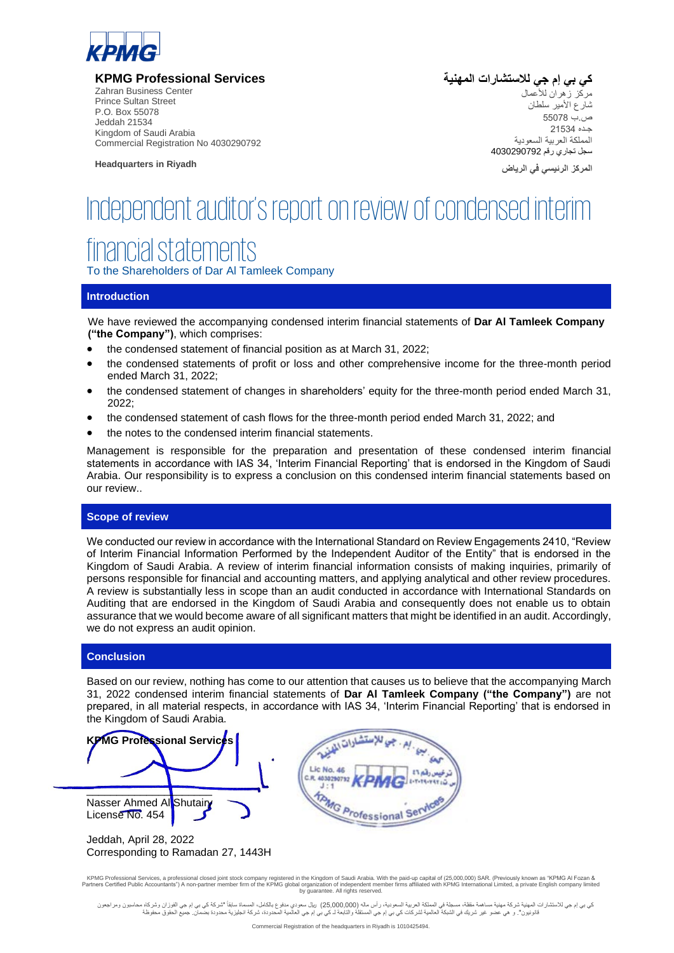

**KPMG Professional Services**

 Zahran Business Center Prince Sultan Street P.O. Box 55078 Jeddah 21534 Kingdom of Saudi Arabia Commercial Registration No 4030290792

**Headquarters in Riyadh** 

**كي بي إم جي لالستشارات المهنية**  مركز زهران لألعمال شارع األمير سلطان ص.ب 55078 جـده 21534 المملكة العربية السعودية سجل تجاري رقم 4030290792

**المركز الرئيسي في الرياض**

# Independent auditor's report on review of condensed interim

# financial statements

To the Shareholders of Dar Al Tamleek Company

#### **Introduction**

We have reviewed the accompanying condensed interim financial statements of **Dar Al Tamleek Company ("the Company")**, which comprises:

- the condensed statement of financial position as at March 31, 2022;
- the condensed statements of profit or loss and other comprehensive income for the three-month period ended March 31, 2022;
- the condensed statement of changes in shareholders' equity for the three-month period ended March 31, 2022;
- the condensed statement of cash flows for the three-month period ended March 31, 2022; and
- the notes to the condensed interim financial statements.

Management is responsible for the preparation and presentation of these condensed interim financial statements in accordance with IAS 34, 'Interim Financial Reporting' that is endorsed in the Kingdom of Saudi Arabia. Our responsibility is to express a conclusion on this condensed interim financial statements based on our review..

# **Scope of review**

We conducted our review in accordance with the International Standard on Review Engagements 2410, "Review of Interim Financial Information Performed by the Independent Auditor of the Entity" that is endorsed in the Kingdom of Saudi Arabia. A review of interim financial information consists of making inquiries, primarily of persons responsible for financial and accounting matters, and applying analytical and other review procedures. A review is substantially less in scope than an audit conducted in accordance with International Standards on Auditing that are endorsed in the Kingdom of Saudi Arabia and consequently does not enable us to obtain assurance that we would become aware of all significant matters that might be identified in an audit. Accordingly, we do not express an audit opinion.

#### **Conclusion**

Based on our review, nothing has come to our attention that causes us to believe that the accompanying March 31, 2022 condensed interim financial statements of **Dar Al Tamleek Company ("the Company")** are not prepared, in all material respects, in accordance with IAS 34, 'Interim Financial Reporting' that is endorsed in the Kingdom of Saudi Arabia.



KPMG Professional Services, a professional closed joint stock company registered in the Kingdom of Saudi Arabia. With the paid-up capital of (25,000,000) SAR. (Previously known as "KPMG Al Fozan & Partners Certified Public Accountants") A non-partner member firm of the KPMG global organization of independent member firms affiliated with KPMG International Limited, a private English company limited by guarantee. All rights reserved.

كي بي إم جي للاستشارات المهنية مساكل مستم مسلم الله عليه المسامل اسماع المسامل المسامل المسام المسام المسام المسامل المسامل المسامل المسامل المسامل المسامل المسامل المسامل المسامل المسامل المسامل المسامل مسامل مسامل مسامل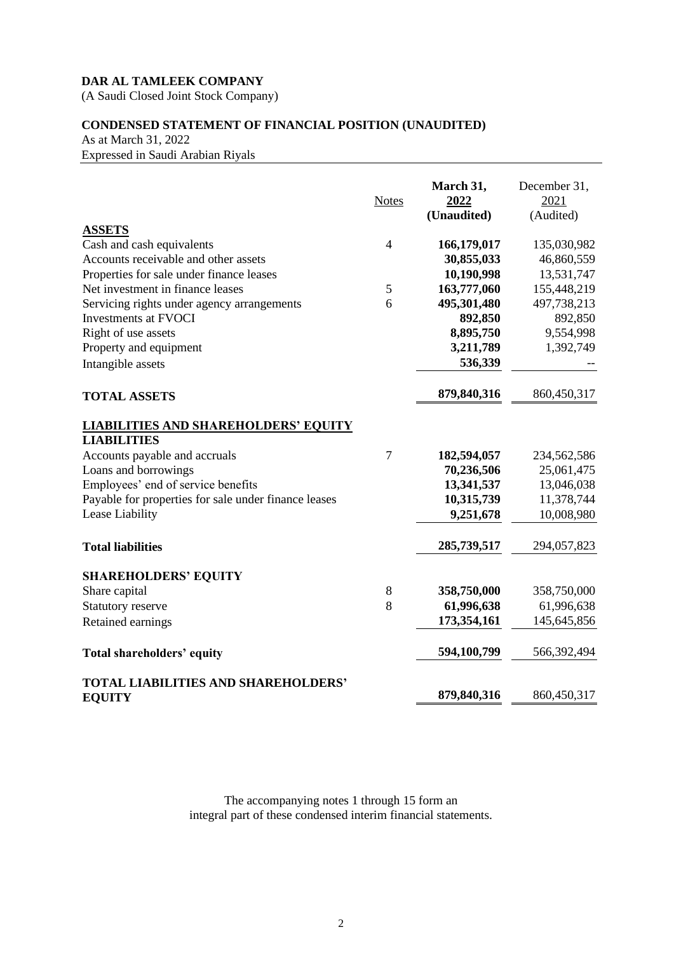(A Saudi Closed Joint Stock Company)

# **CONDENSED STATEMENT OF FINANCIAL POSITION (UNAUDITED)**

As at March 31, 2022 Expressed in Saudi Arabian Riyals

|                                                                   | <b>Notes</b>   | March 31,<br>2022<br>(Unaudited) | December 31,<br>2021<br>(Audited) |
|-------------------------------------------------------------------|----------------|----------------------------------|-----------------------------------|
| <b>ASSETS</b>                                                     |                |                                  |                                   |
| Cash and cash equivalents                                         | $\overline{4}$ | 166,179,017                      | 135,030,982                       |
| Accounts receivable and other assets                              |                | 30,855,033                       | 46,860,559                        |
| Properties for sale under finance leases                          |                | 10,190,998                       | 13,531,747                        |
| Net investment in finance leases                                  | 5              | 163,777,060                      | 155,448,219                       |
| Servicing rights under agency arrangements                        | 6              | 495,301,480                      | 497,738,213                       |
| <b>Investments at FVOCI</b>                                       |                | 892,850                          | 892,850                           |
| Right of use assets                                               |                | 8,895,750                        | 9,554,998                         |
| Property and equipment                                            |                | 3,211,789                        | 1,392,749                         |
| Intangible assets                                                 |                | 536,339                          |                                   |
| <b>TOTAL ASSETS</b>                                               |                | 879,840,316                      | 860,450,317                       |
| <b>LIABILITIES AND SHAREHOLDERS' EQUITY</b><br><b>LIABILITIES</b> |                |                                  |                                   |
| Accounts payable and accruals                                     | $\overline{7}$ | 182,594,057                      | 234,562,586                       |
| Loans and borrowings                                              |                | 70,236,506                       | 25,061,475                        |
| Employees' end of service benefits                                |                | 13,341,537                       | 13,046,038                        |
| Payable for properties for sale under finance leases              |                | 10,315,739                       | 11,378,744                        |
| Lease Liability                                                   |                | 9,251,678                        | 10,008,980                        |
| <b>Total liabilities</b>                                          |                | 285,739,517                      | 294,057,823                       |
| <b>SHAREHOLDERS' EQUITY</b>                                       |                |                                  |                                   |
| Share capital                                                     | 8              | 358,750,000                      | 358,750,000                       |
| Statutory reserve                                                 | 8              | 61,996,638                       | 61,996,638                        |
| Retained earnings                                                 |                | 173,354,161                      | 145,645,856                       |
| Total shareholders' equity                                        |                | 594,100,799                      | 566,392,494                       |
| <b>TOTAL LIABILITIES AND SHAREHOLDERS'</b>                        |                |                                  |                                   |
| <b>EQUITY</b>                                                     |                | 879,840,316                      | 860,450,317                       |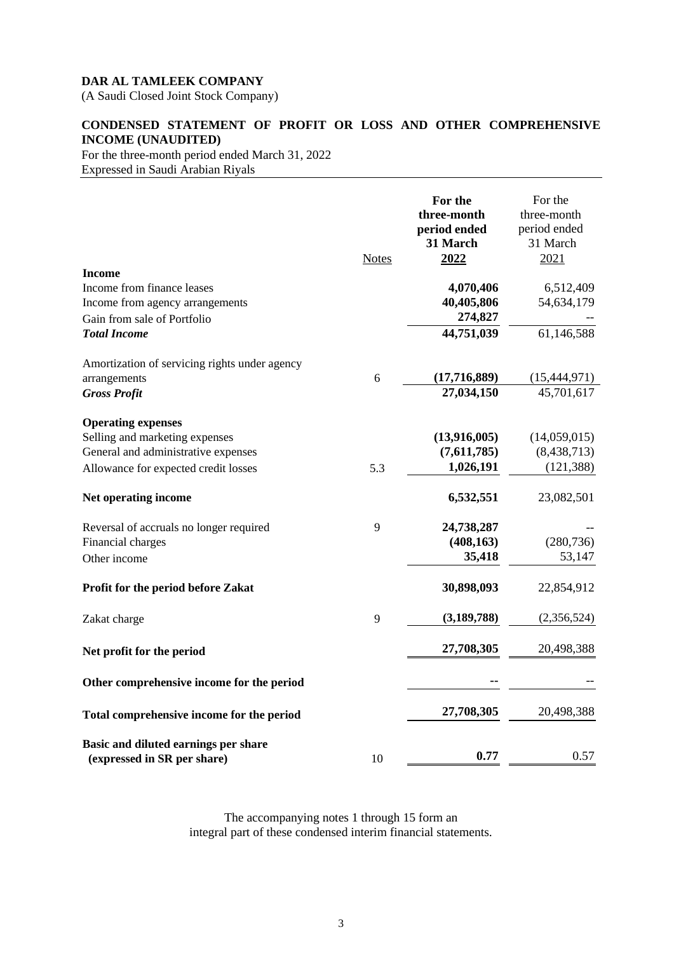(A Saudi Closed Joint Stock Company)

# **CONDENSED STATEMENT OF PROFIT OR LOSS AND OTHER COMPREHENSIVE INCOME (UNAUDITED)**

For the three-month period ended March 31, 2022 Expressed in Saudi Arabian Riyals

|                                               | <b>Notes</b> | For the<br>three-month<br>period ended<br>31 March<br>2022 | For the<br>three-month<br>period ended<br>31 March<br>2021 |
|-----------------------------------------------|--------------|------------------------------------------------------------|------------------------------------------------------------|
| <b>Income</b><br>Income from finance leases   |              | 4,070,406                                                  | 6,512,409                                                  |
| Income from agency arrangements               |              | 40,405,806                                                 | 54,634,179                                                 |
| Gain from sale of Portfolio                   |              | 274,827                                                    |                                                            |
| <b>Total Income</b>                           |              | 44,751,039                                                 | 61,146,588                                                 |
| Amortization of servicing rights under agency |              |                                                            |                                                            |
| arrangements                                  | 6            | (17,716,889)                                               | (15, 444, 971)                                             |
| <b>Gross Profit</b>                           |              | 27,034,150                                                 | 45,701,617                                                 |
| <b>Operating expenses</b>                     |              |                                                            |                                                            |
| Selling and marketing expenses                |              | (13,916,005)                                               | (14,059,015)                                               |
| General and administrative expenses           |              | (7,611,785)                                                | (8, 438, 713)                                              |
| Allowance for expected credit losses          | 5.3          | 1,026,191                                                  | (121, 388)                                                 |
| Net operating income                          |              | 6,532,551                                                  | 23,082,501                                                 |
| Reversal of accruals no longer required       | 9            | 24,738,287                                                 |                                                            |
| Financial charges                             |              | (408, 163)                                                 | (280, 736)                                                 |
| Other income                                  |              | 35,418                                                     | 53,147                                                     |
| Profit for the period before Zakat            |              | 30,898,093                                                 | 22,854,912                                                 |
| Zakat charge                                  | 9            | (3,189,788)                                                | (2,356,524)                                                |
| Net profit for the period                     |              | 27,708,305                                                 | 20,498,388                                                 |
| Other comprehensive income for the period     |              |                                                            |                                                            |
| Total comprehensive income for the period     |              | 27,708,305                                                 | 20,498,388                                                 |
| Basic and diluted earnings per share          |              |                                                            |                                                            |
| (expressed in SR per share)                   | 10           | 0.77                                                       | 0.57                                                       |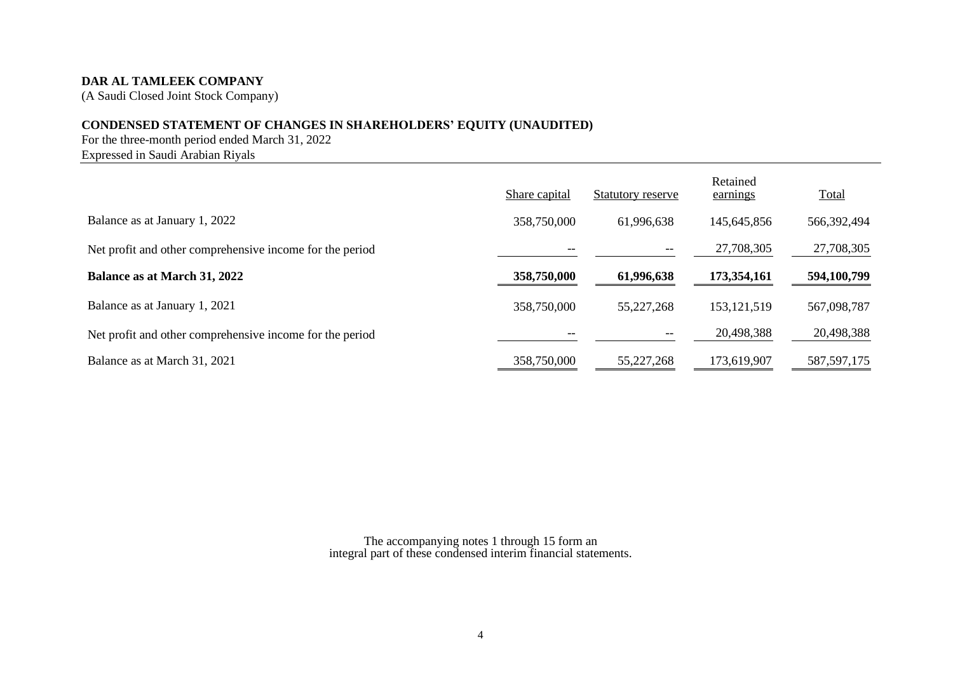(A Saudi Closed Joint Stock Company)

# **CONDENSED STATEMENT OF CHANGES IN SHAREHOLDERS' EQUITY (UNAUDITED)**

For the three-month period ended March 31, 2022 Expressed in Saudi Arabian Riyals

|                                                          | Share capital | Statutory reserve | Retained<br>earnings | Total         |
|----------------------------------------------------------|---------------|-------------------|----------------------|---------------|
| Balance as at January 1, 2022                            | 358,750,000   | 61,996,638        | 145,645,856          | 566,392,494   |
| Net profit and other comprehensive income for the period |               | --                | 27,708,305           | 27,708,305    |
| Balance as at March 31, 2022                             | 358,750,000   | 61,996,638        | 173,354,161          | 594,100,799   |
| Balance as at January 1, 2021                            | 358,750,000   | 55,227,268        | 153, 121, 519        | 567,098,787   |
| Net profit and other comprehensive income for the period |               | --                | 20,498,388           | 20,498,388    |
| Balance as at March 31, 2021                             | 358,750,000   | 55,227,268        | 173,619,907          | 587, 597, 175 |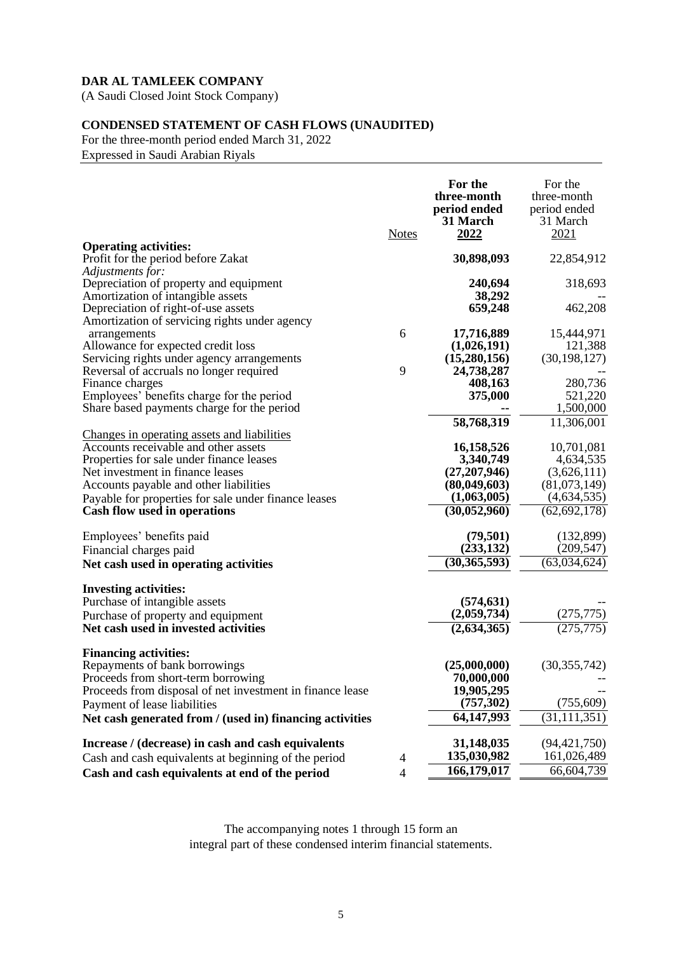(A Saudi Closed Joint Stock Company)

# **CONDENSED STATEMENT OF CASH FLOWS (UNAUDITED)**

For the three-month period ended March 31, 2022 Expressed in Saudi Arabian Riyals

|                                                                                                                                    | <b>Notes</b>   | For the<br>three-month<br>period ended<br>31 March<br>2022 | For the<br>three-month<br>period ended<br>31 March<br>2021 |
|------------------------------------------------------------------------------------------------------------------------------------|----------------|------------------------------------------------------------|------------------------------------------------------------|
| <b>Operating activities:</b><br>Profit for the period before Zakat                                                                 |                | 30,898,093                                                 | 22,854,912                                                 |
| Adjustments for:<br>Depreciation of property and equipment<br>Amortization of intangible assets                                    |                | 240,694<br>38,292                                          | 318,693                                                    |
| Depreciation of right-of-use assets<br>Amortization of servicing rights under agency                                               |                | 659,248                                                    | 462,208                                                    |
| arrangements<br>Allowance for expected credit loss                                                                                 | 6              | 17,716,889<br>(1,026,191)                                  | 15,444,971<br>121,388                                      |
| Servicing rights under agency arrangements<br>Reversal of accruals no longer required                                              | 9              | (15,280,156)<br>24,738,287                                 | (30, 198, 127)                                             |
| Finance charges<br>Employees' benefits charge for the period<br>Share based payments charge for the period                         |                | 408,163<br>375,000                                         | 280,736<br>521,220<br>1,500,000                            |
| Changes in operating assets and liabilities                                                                                        |                | 58,768,319                                                 | 11,306,001                                                 |
| Accounts receivable and other assets<br>Properties for sale under finance leases                                                   |                | 16,158,526<br>3,340,749                                    | 10,701,081<br>4,634,535                                    |
| Net investment in finance leases<br>Accounts payable and other liabilities<br>Payable for properties for sale under finance leases |                | (27,207,946)<br>(80, 049, 603)<br>(1,063,005)              | (3,626,111)<br>(81,073,149)<br>(4,634,535)                 |
| Cash flow used in operations                                                                                                       |                | (30,052,960)                                               | (62, 692, 178)                                             |
| Employees' benefits paid<br>Financial charges paid                                                                                 |                | (79,501)<br>(233, 132)                                     | (132,899)<br>(209, 547)                                    |
| Net cash used in operating activities                                                                                              |                | (30, 365, 593)                                             | (63,034,624)                                               |
| <b>Investing activities:</b><br>Purchase of intangible assets                                                                      |                | (574, 631)<br>(2,059,734)                                  | (275, 775)                                                 |
| Purchase of property and equipment<br>Net cash used in invested activities                                                         |                | (2,634,365)                                                | (275, 775)                                                 |
| <b>Financing activities:</b><br>Repayments of bank borrowings<br>Proceeds from short-term borrowing                                |                | (25,000,000)<br>70,000,000                                 | (30, 355, 742)                                             |
| Proceeds from disposal of net investment in finance lease<br>Payment of lease liabilities                                          |                | 19,905,295<br>(757, 302)                                   | (755, 609)                                                 |
| Net cash generated from / (used in) financing activities                                                                           |                | 64,147,993                                                 | (31, 111, 351)                                             |
| Increase / (decrease) in cash and cash equivalents<br>Cash and cash equivalents at beginning of the period                         | $\overline{4}$ | 31,148,035<br>135,030,982                                  | (94, 421, 750)<br>161,026,489                              |
| Cash and cash equivalents at end of the period                                                                                     | $\overline{4}$ | 166,179,017                                                | 66,604,739                                                 |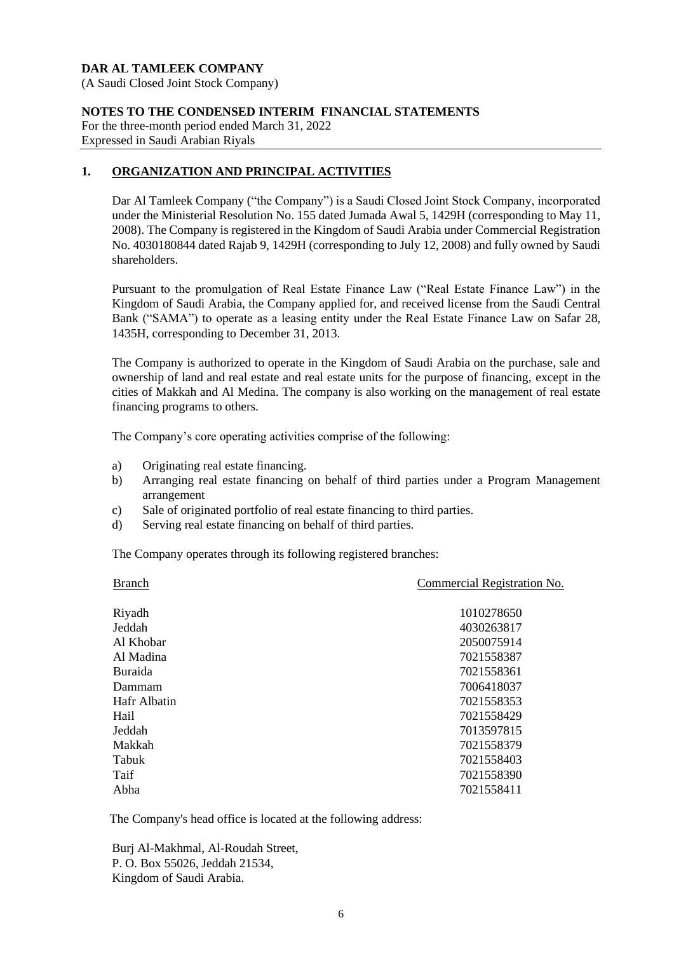(A Saudi Closed Joint Stock Company)

#### **NOTES TO THE CONDENSED INTERIM FINANCIAL STATEMENTS**

For the three-month period ended March 31, 2022 Expressed in Saudi Arabian Riyals

# **1. ORGANIZATION AND PRINCIPAL ACTIVITIES**

Dar Al Tamleek Company ("the Company") is a Saudi Closed Joint Stock Company, incorporated under the Ministerial Resolution No. 155 dated Jumada Awal 5, 1429H (corresponding to May 11, 2008). The Company is registered in the Kingdom of Saudi Arabia under Commercial Registration No. 4030180844 dated Rajab 9, 1429H (corresponding to July 12, 2008) and fully owned by Saudi shareholders.

Pursuant to the promulgation of Real Estate Finance Law ("Real Estate Finance Law") in the Kingdom of Saudi Arabia, the Company applied for, and received license from the Saudi Central Bank ("SAMA") to operate as a leasing entity under the Real Estate Finance Law on Safar 28, 1435H, corresponding to December 31, 2013.

The Company is authorized to operate in the Kingdom of Saudi Arabia on the purchase, sale and ownership of land and real estate and real estate units for the purpose of financing, except in the cities of Makkah and Al Medina. The company is also working on the management of real estate financing programs to others.

The Company's core operating activities comprise of the following:

- a) Originating real estate financing.
- b) Arranging real estate financing on behalf of third parties under a Program Management arrangement
- c) Sale of originated portfolio of real estate financing to third parties.
- d) Serving real estate financing on behalf of third parties.

The Company operates through its following registered branches:

| <b>Branch</b>  | Commercial Registration No. |
|----------------|-----------------------------|
| Riyadh         | 1010278650                  |
| Jeddah         | 4030263817                  |
| Al Khobar      | 2050075914                  |
| Al Madina      | 7021558387                  |
| <b>Buraida</b> | 7021558361                  |
| Dammam         | 7006418037                  |
| Hafr Albatin   | 7021558353                  |
| Hail           | 7021558429                  |
| Jeddah         | 7013597815                  |
| Makkah         | 7021558379                  |
| Tabuk          | 7021558403                  |
| Taif           | 7021558390                  |
| Abha           | 7021558411                  |
|                |                             |

The Company's head office is located at the following address:

Burj Al-Makhmal, Al-Roudah Street, P. O. Box 55026, Jeddah 21534, Kingdom of Saudi Arabia.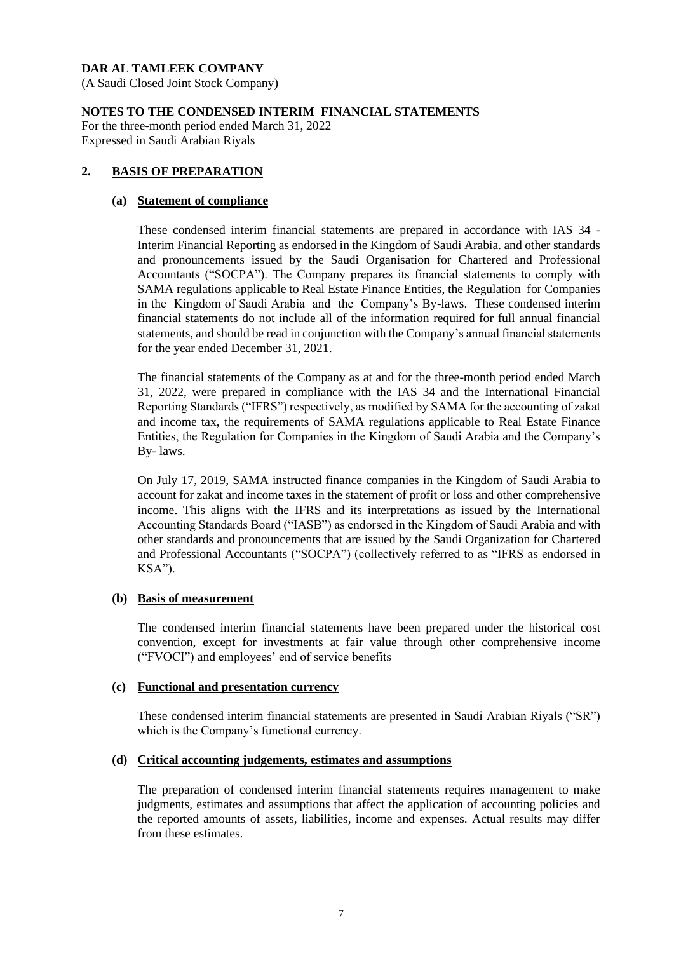(A Saudi Closed Joint Stock Company)

# **NOTES TO THE CONDENSED INTERIM FINANCIAL STATEMENTS**

For the three-month period ended March 31, 2022 Expressed in Saudi Arabian Riyals

# **2. BASIS OF PREPARATION**

#### **(a) Statement of compliance**

These condensed interim financial statements are prepared in accordance with IAS 34 - Interim Financial Reporting as endorsed in the Kingdom of Saudi Arabia. and other standards and pronouncements issued by the Saudi Organisation for Chartered and Professional Accountants ("SOCPA"). The Company prepares its financial statements to comply with SAMA regulations applicable to Real Estate Finance Entities, the Regulation for Companies in the Kingdom of Saudi Arabia and the Company's By-laws. These condensed interim financial statements do not include all of the information required for full annual financial statements, and should be read in conjunction with the Company's annual financial statements for the year ended December 31, 2021.

The financial statements of the Company as at and for the three-month period ended March 31, 2022, were prepared in compliance with the IAS 34 and the International Financial Reporting Standards ("IFRS") respectively, as modified by SAMA for the accounting of zakat and income tax, the requirements of SAMA regulations applicable to Real Estate Finance Entities, the Regulation for Companies in the Kingdom of Saudi Arabia and the Company's By- laws.

On July 17, 2019, SAMA instructed finance companies in the Kingdom of Saudi Arabia to account for zakat and income taxes in the statement of profit or loss and other comprehensive income. This aligns with the IFRS and its interpretations as issued by the International Accounting Standards Board ("IASB") as endorsed in the Kingdom of Saudi Arabia and with other standards and pronouncements that are issued by the Saudi Organization for Chartered and Professional Accountants ("SOCPA") (collectively referred to as "IFRS as endorsed in  $KSA$ ").

# **(b) Basis of measurement**

The condensed interim financial statements have been prepared under the historical cost convention, except for investments at fair value through other comprehensive income ("FVOCI") and employees' end of service benefits

# **(c) Functional and presentation currency**

These condensed interim financial statements are presented in Saudi Arabian Riyals ("SR") which is the Company's functional currency.

#### **(d) Critical accounting judgements, estimates and assumptions**

The preparation of condensed interim financial statements requires management to make judgments, estimates and assumptions that affect the application of accounting policies and the reported amounts of assets, liabilities, income and expenses. Actual results may differ from these estimates.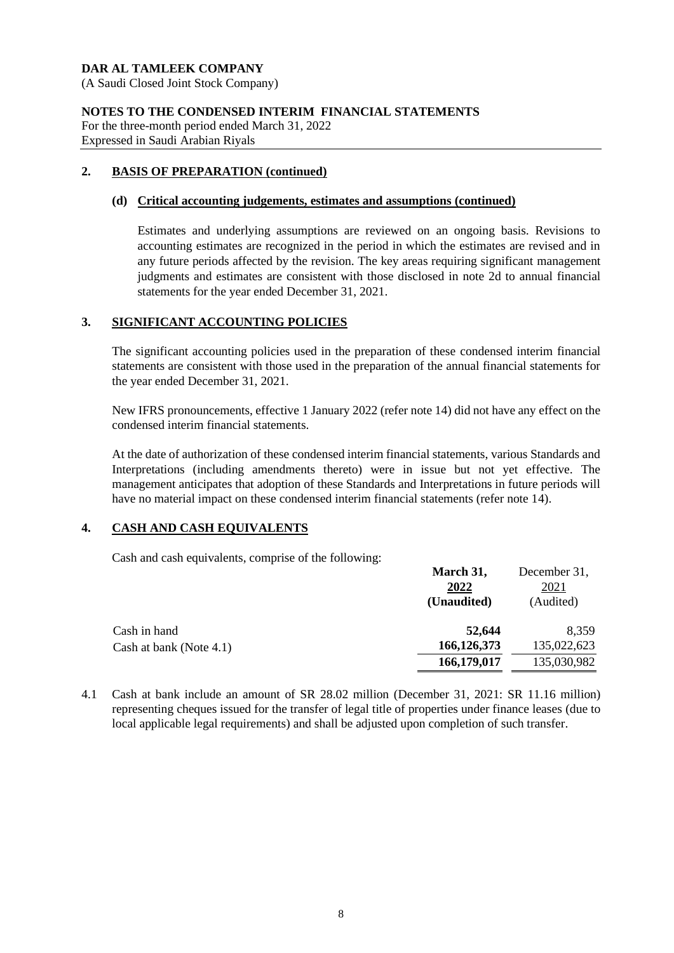(A Saudi Closed Joint Stock Company)

#### **NOTES TO THE CONDENSED INTERIM FINANCIAL STATEMENTS**

For the three-month period ended March 31, 2022 Expressed in Saudi Arabian Riyals

# **2. BASIS OF PREPARATION (continued)**

#### **(d) Critical accounting judgements, estimates and assumptions (continued)**

Estimates and underlying assumptions are reviewed on an ongoing basis. Revisions to accounting estimates are recognized in the period in which the estimates are revised and in any future periods affected by the revision. The key areas requiring significant management judgments and estimates are consistent with those disclosed in note 2d to annual financial statements for the year ended December 31, 2021.

# **3. SIGNIFICANT ACCOUNTING POLICIES**

The significant accounting policies used in the preparation of these condensed interim financial statements are consistent with those used in the preparation of the annual financial statements for the year ended December 31, 2021.

New IFRS pronouncements, effective 1 January 2022 (refer note 14) did not have any effect on the condensed interim financial statements.

At the date of authorization of these condensed interim financial statements, various Standards and Interpretations (including amendments thereto) were in issue but not yet effective. The management anticipates that adoption of these Standards and Interpretations in future periods will have no material impact on these condensed interim financial statements (refer note 14).

# **4. CASH AND CASH EQUIVALENTS**

Cash and cash equivalents, comprise of the following:

|                         | March 31,     | December 31, |
|-------------------------|---------------|--------------|
|                         | 2022          | 2021         |
|                         | (Unaudited)   | (Audited)    |
| Cash in hand            | 52,644        | 8,359        |
| Cash at bank (Note 4.1) | 166, 126, 373 | 135,022,623  |
|                         | 166,179,017   | 135,030,982  |

**March 31,**

4.1 Cash at bank include an amount of SR 28.02 million (December 31, 2021: SR 11.16 million) representing cheques issued for the transfer of legal title of properties under finance leases (due to local applicable legal requirements) and shall be adjusted upon completion of such transfer.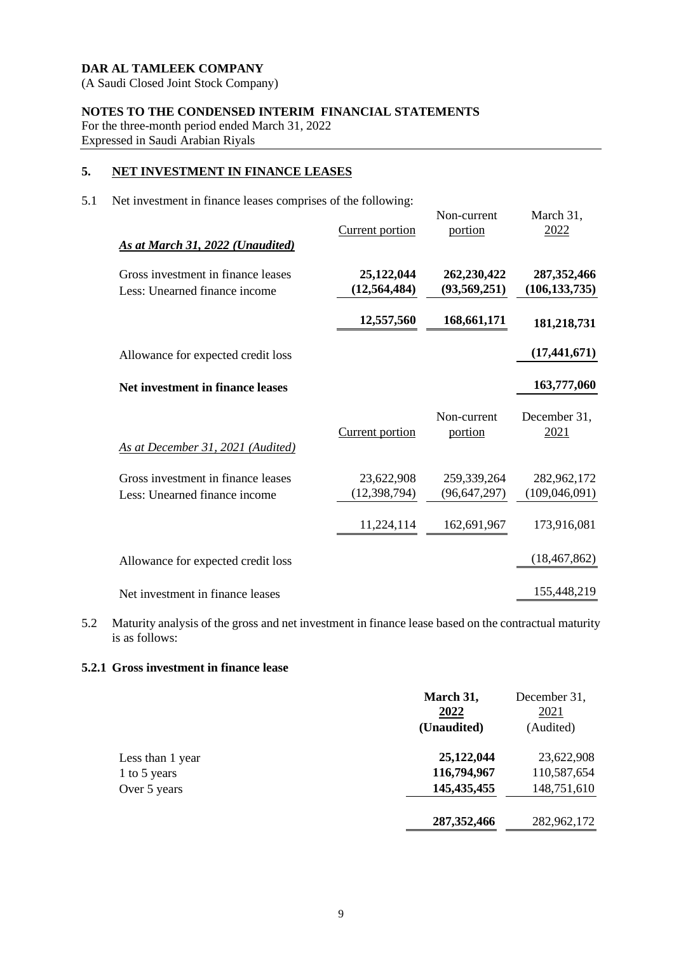(A Saudi Closed Joint Stock Company)

# **NOTES TO THE CONDENSED INTERIM FINANCIAL STATEMENTS**

For the three-month period ended March 31, 2022 Expressed in Saudi Arabian Riyals

# **5. NET INVESTMENT IN FINANCE LEASES**

5.1 Net investment in finance leases comprises of the following:

| As at March 31, 2022 (Unaudited)                                    | <b>Current portion</b>       | Non-current<br>portion        | March 31,<br>2022                |
|---------------------------------------------------------------------|------------------------------|-------------------------------|----------------------------------|
| Gross investment in finance leases<br>Less: Unearned finance income | 25,122,044<br>(12, 564, 484) | 262,230,422<br>(93, 569, 251) | 287, 352, 466<br>(106, 133, 735) |
|                                                                     | 12,557,560                   | 168,661,171                   | 181,218,731                      |
| Allowance for expected credit loss                                  |                              |                               | (17, 441, 671)                   |
| Net investment in finance leases                                    |                              |                               | 163,777,060                      |
| As at December 31, 2021 (Audited)                                   | <b>Current portion</b>       | Non-current<br>portion        | December 31,<br>2021             |
| Gross investment in finance leases<br>Less: Unearned finance income | 23,622,908<br>(12, 398, 794) | 259,339,264<br>(96, 647, 297) | 282,962,172<br>(109, 046, 091)   |
|                                                                     | 11,224,114                   | 162,691,967                   | 173,916,081                      |
| Allowance for expected credit loss                                  |                              |                               | (18, 467, 862)                   |
| Net investment in finance leases                                    |                              |                               | 155,448,219                      |

5.2 Maturity analysis of the gross and net investment in finance lease based on the contractual maturity is as follows:

# **5.2.1 Gross investment in finance lease**

|                  | March 31,<br>2022<br>(Unaudited) | December 31,<br>2021<br>(Audited) |
|------------------|----------------------------------|-----------------------------------|
| Less than 1 year | 25,122,044                       | 23,622,908                        |
| 1 to 5 years     | 116,794,967                      | 110,587,654                       |
| Over 5 years     | 145, 435, 455                    | 148,751,610                       |
|                  | 287, 352, 466                    | 282,962,172                       |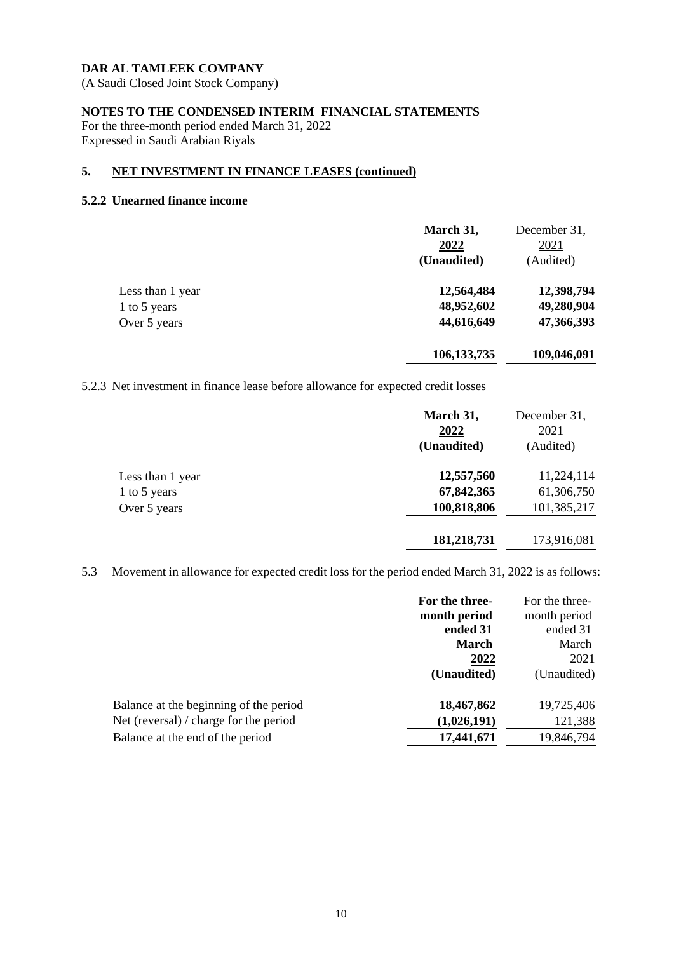(A Saudi Closed Joint Stock Company)

# **NOTES TO THE CONDENSED INTERIM FINANCIAL STATEMENTS**

For the three-month period ended March 31, 2022 Expressed in Saudi Arabian Riyals

# **5. NET INVESTMENT IN FINANCE LEASES (continued)**

#### **5.2.2 Unearned finance income**

|                  | March 31,<br>2022<br>(Unaudited) | December 31,<br>2021<br>(Audited) |
|------------------|----------------------------------|-----------------------------------|
| Less than 1 year | 12,564,484                       | 12,398,794                        |
| 1 to 5 years     | 48,952,602                       | 49,280,904                        |
| Over 5 years     | 44,616,649                       | 47,366,393                        |
|                  | 106, 133, 735                    | 109,046,091                       |

5.2.3 Net investment in finance lease before allowance for expected credit losses

|                  | March 31,<br>2022<br>(Unaudited) | December 31,<br>2021<br>(Audited) |
|------------------|----------------------------------|-----------------------------------|
| Less than 1 year | 12,557,560                       | 11,224,114                        |
| 1 to 5 years     | 67,842,365                       | 61,306,750                        |
| Over 5 years     | 100,818,806                      | 101,385,217                       |
|                  | 181,218,731                      | 173,916,081                       |

5.3 Movement in allowance for expected credit loss for the period ended March 31, 2022 is as follows:

|                                        | For the three- | For the three- |
|----------------------------------------|----------------|----------------|
|                                        | month period   | month period   |
|                                        | ended 31       | ended 31       |
|                                        | <b>March</b>   | March          |
|                                        | 2022           | <u>2021</u>    |
|                                        | (Unaudited)    | (Unaudited)    |
| Balance at the beginning of the period | 18,467,862     | 19,725,406     |
| Net (reversal) / charge for the period | (1,026,191)    | 121,388        |
| Balance at the end of the period       | 17,441,671     | 19,846,794     |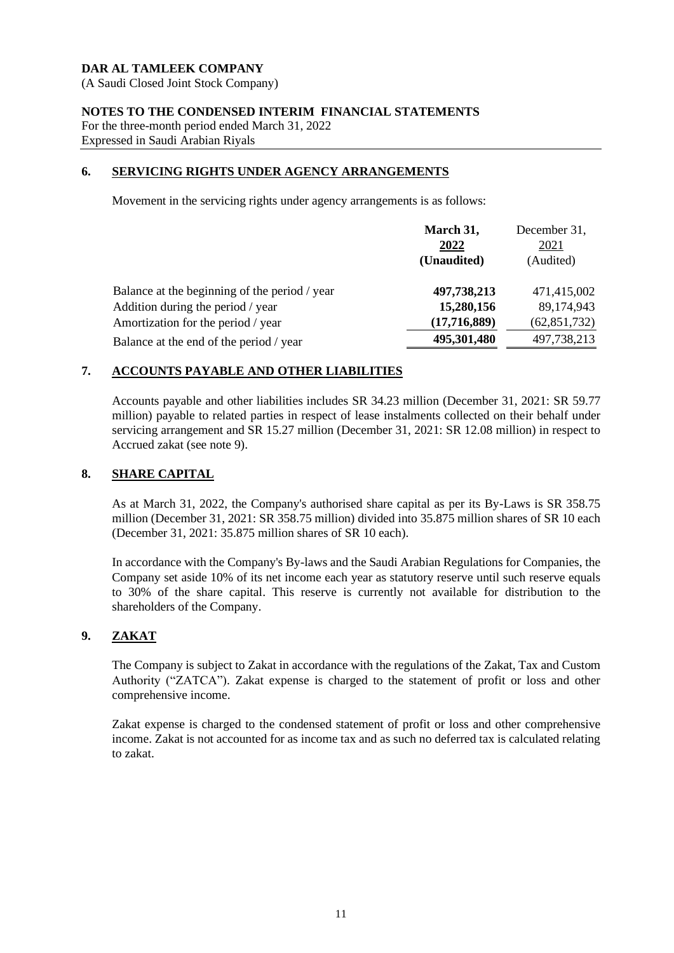(A Saudi Closed Joint Stock Company)

# **NOTES TO THE CONDENSED INTERIM FINANCIAL STATEMENTS**

For the three-month period ended March 31, 2022 Expressed in Saudi Arabian Riyals

# **6. SERVICING RIGHTS UNDER AGENCY ARRANGEMENTS**

Movement in the servicing rights under agency arrangements is as follows:

|                                               | March 31,<br>2022 | December 31,<br>2021 |
|-----------------------------------------------|-------------------|----------------------|
|                                               | (Unaudited)       | (Audited)            |
| Balance at the beginning of the period / year | 497,738,213       | 471,415,002          |
| Addition during the period / year             | 15,280,156        | 89,174,943           |
| Amortization for the period / year            | (17,716,889)      | (62, 851, 732)       |
| Balance at the end of the period / year       | 495,301,480       | 497,738,213          |
|                                               |                   |                      |

# **7. ACCOUNTS PAYABLE AND OTHER LIABILITIES**

Accounts payable and other liabilities includes SR 34.23 million (December 31, 2021: SR 59.77 million) payable to related parties in respect of lease instalments collected on their behalf under servicing arrangement and SR 15.27 million (December 31, 2021: SR 12.08 million) in respect to Accrued zakat (see note 9).

# **8. SHARE CAPITAL**

As at March 31, 2022, the Company's authorised share capital as per its By-Laws is SR 358.75 million (December 31, 2021: SR 358.75 million) divided into 35.875 million shares of SR 10 each (December 31, 2021: 35.875 million shares of SR 10 each).

In accordance with the Company's By-laws and the Saudi Arabian Regulations for Companies, the Company set aside 10% of its net income each year as statutory reserve until such reserve equals to 30% of the share capital. This reserve is currently not available for distribution to the shareholders of the Company.

# **9. ZAKAT**

The Company is subject to Zakat in accordance with the regulations of the Zakat, Tax and Custom Authority ("ZATCA"). Zakat expense is charged to the statement of profit or loss and other comprehensive income.

Zakat expense is charged to the condensed statement of profit or loss and other comprehensive income. Zakat is not accounted for as income tax and as such no deferred tax is calculated relating to zakat.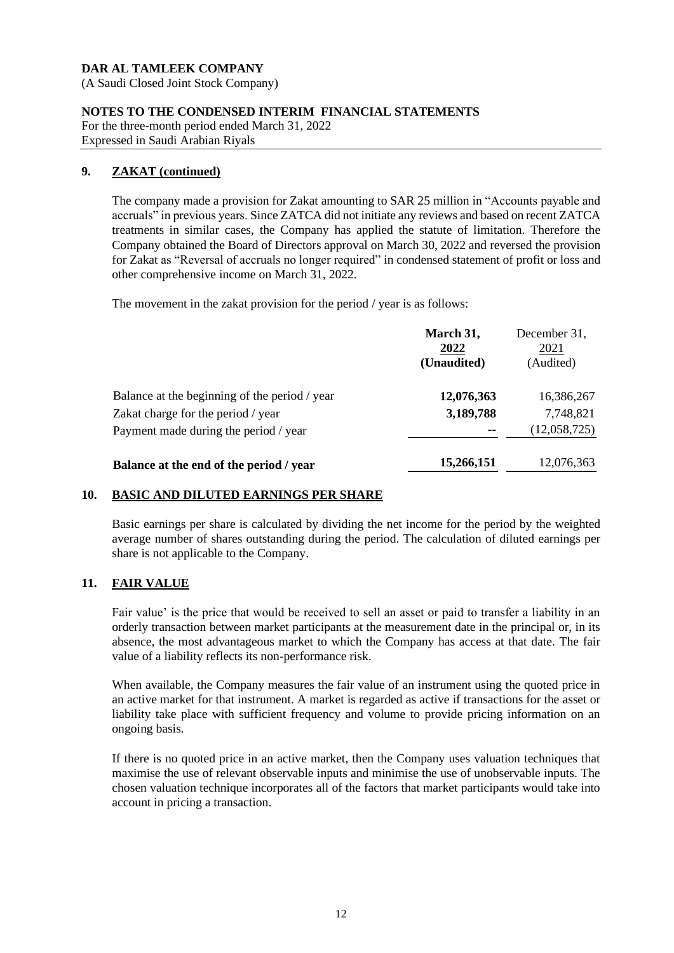(A Saudi Closed Joint Stock Company)

# **NOTES TO THE CONDENSED INTERIM FINANCIAL STATEMENTS**

For the three-month period ended March 31, 2022 Expressed in Saudi Arabian Riyals

# **9. ZAKAT (continued)**

The company made a provision for Zakat amounting to SAR 25 million in "Accounts payable and accruals" in previous years. Since ZATCA did not initiate any reviews and based on recent ZATCA treatments in similar cases, the Company has applied the statute of limitation. Therefore the Company obtained the Board of Directors approval on March 30, 2022 and reversed the provision for Zakat as "Reversal of accruals no longer required" in condensed statement of profit or loss and other comprehensive income on March 31, 2022.

The movement in the zakat provision for the period / year is as follows:

| March 31,<br>2022 | December 31,<br>2021<br>(Audited) |
|-------------------|-----------------------------------|
|                   |                                   |
| 12,076,363        | 16,386,267                        |
| 3,189,788         | 7,748,821                         |
| --                | (12,058,725)                      |
| 15,266,151        | 12,076,363                        |
|                   | (Unaudited)                       |

# **10. BASIC AND DILUTED EARNINGS PER SHARE**

Basic earnings per share is calculated by dividing the net income for the period by the weighted average number of shares outstanding during the period. The calculation of diluted earnings per share is not applicable to the Company.

# **11. FAIR VALUE**

Fair value' is the price that would be received to sell an asset or paid to transfer a liability in an orderly transaction between market participants at the measurement date in the principal or, in its absence, the most advantageous market to which the Company has access at that date. The fair value of a liability reflects its non-performance risk.

When available, the Company measures the fair value of an instrument using the quoted price in an active market for that instrument. A market is regarded as active if transactions for the asset or liability take place with sufficient frequency and volume to provide pricing information on an ongoing basis.

If there is no quoted price in an active market, then the Company uses valuation techniques that maximise the use of relevant observable inputs and minimise the use of unobservable inputs. The chosen valuation technique incorporates all of the factors that market participants would take into account in pricing a transaction.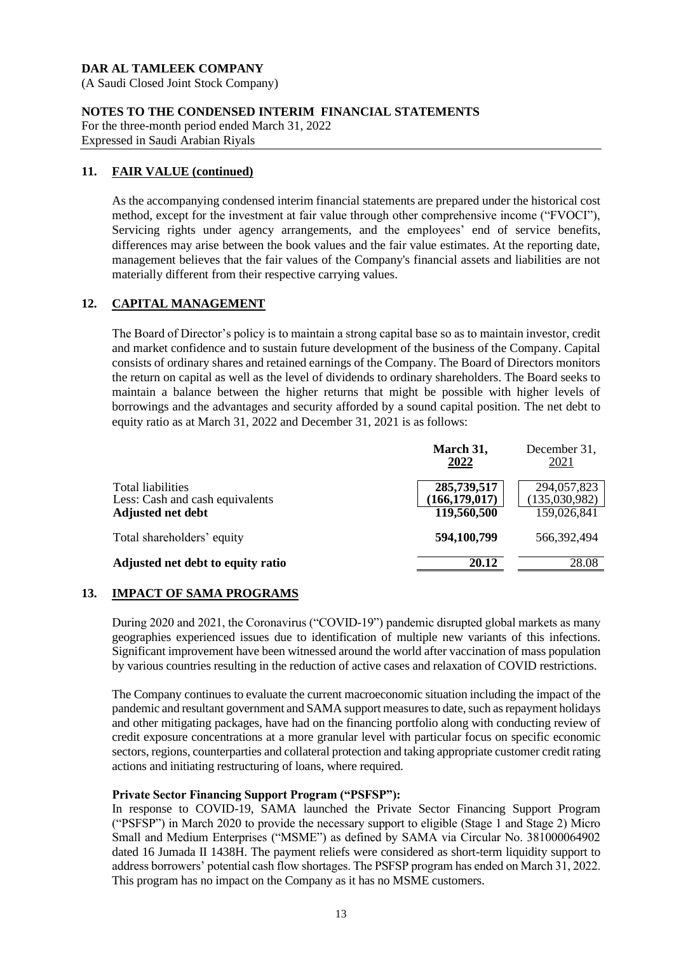(A Saudi Closed Joint Stock Company)

# **NOTES TO THE CONDENSED INTERIM FINANCIAL STATEMENTS**

For the three-month period ended March 31, 2022 Expressed in Saudi Arabian Riyals

# **11. FAIR VALUE (continued)**

As the accompanying condensed interim financial statements are prepared under the historical cost method, except for the investment at fair value through other comprehensive income ("FVOCI"), Servicing rights under agency arrangements, and the employees' end of service benefits, differences may arise between the book values and the fair value estimates. At the reporting date, management believes that the fair values of the Company's financial assets and liabilities are not materially different from their respective carrying values.

# **12. CAPITAL MANAGEMENT**

The Board of Director's policy is to maintain a strong capital base so as to maintain investor, credit and market confidence and to sustain future development of the business of the Company. Capital consists of ordinary shares and retained earnings of the Company. The Board of Directors monitors the return on capital as well as the level of dividends to ordinary shareholders. The Board seeks to maintain a balance between the higher returns that might be possible with higher levels of borrowings and the advantages and security afforded by a sound capital position. The net debt to equity ratio as at March 31, 2022 and December 31, 2021 is as follows:

|                                                      | March 31,<br>2022              | December 31,<br>2021         |
|------------------------------------------------------|--------------------------------|------------------------------|
| Total liabilities<br>Less: Cash and cash equivalents | 285,739,517<br>(166, 179, 017) | 294,057,823<br>(135,030,982) |
| <b>Adjusted net debt</b>                             | 119,560,500                    | 159,026,841                  |
| Total shareholders' equity                           | 594,100,799                    | 566,392,494                  |
| Adjusted net debt to equity ratio                    | 20.12                          | 28.08                        |

# **13. IMPACT OF SAMA PROGRAMS**

During 2020 and 2021, the Coronavirus ("COVID-19") pandemic disrupted global markets as many geographies experienced issues due to identification of multiple new variants of this infections. Significant improvement have been witnessed around the world after vaccination of mass population by various countries resulting in the reduction of active cases and relaxation of COVID restrictions.

The Company continues to evaluate the current macroeconomic situation including the impact of the pandemic and resultant government and SAMA support measures to date, such as repayment holidays and other mitigating packages, have had on the financing portfolio along with conducting review of credit exposure concentrations at a more granular level with particular focus on specific economic sectors, regions, counterparties and collateral protection and taking appropriate customer credit rating actions and initiating restructuring of loans, where required.

# **Private Sector Financing Support Program ("PSFSP"):**

In response to COVID-19, SAMA launched the Private Sector Financing Support Program ("PSFSP") in March 2020 to provide the necessary support to eligible (Stage 1 and Stage 2) Micro Small and Medium Enterprises ("MSME") as defined by SAMA via Circular No. 381000064902 dated 16 Jumada II 1438H. The payment reliefs were considered as short-term liquidity support to address borrowers' potential cash flow shortages. The PSFSP program has ended on March 31, 2022. This program has no impact on the Company as it has no MSME customers.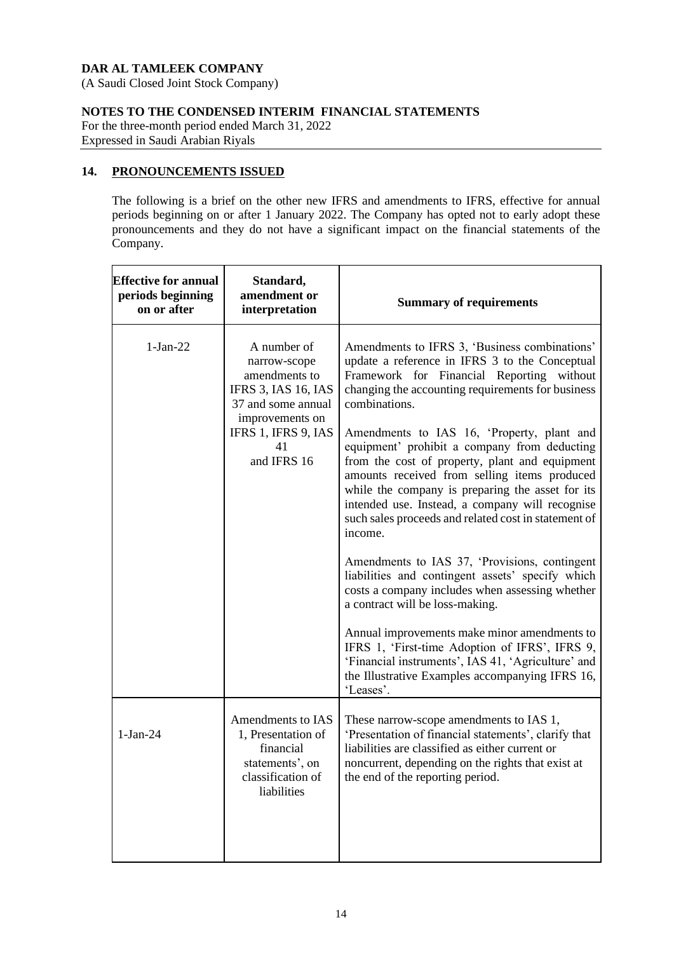(A Saudi Closed Joint Stock Company)

# **NOTES TO THE CONDENSED INTERIM FINANCIAL STATEMENTS**

For the three-month period ended March 31, 2022 Expressed in Saudi Arabian Riyals

# **14. PRONOUNCEMENTS ISSUED**

The following is a brief on the other new IFRS and amendments to IFRS, effective for annual periods beginning on or after 1 January 2022. The Company has opted not to early adopt these pronouncements and they do not have a significant impact on the financial statements of the Company.

| <b>Effective for annual</b><br>periods beginning<br>on or after | Standard,<br>amendment or<br>interpretation                                                                                                                     | <b>Summary of requirements</b>                                                                                                                                                                                                                                                                                                                                                                                                                                                                                                                                                                                                                                                                                                                                                                                                                                                                                                                                                                                  |
|-----------------------------------------------------------------|-----------------------------------------------------------------------------------------------------------------------------------------------------------------|-----------------------------------------------------------------------------------------------------------------------------------------------------------------------------------------------------------------------------------------------------------------------------------------------------------------------------------------------------------------------------------------------------------------------------------------------------------------------------------------------------------------------------------------------------------------------------------------------------------------------------------------------------------------------------------------------------------------------------------------------------------------------------------------------------------------------------------------------------------------------------------------------------------------------------------------------------------------------------------------------------------------|
| $1-Jan-22$                                                      | A number of<br>narrow-scope<br>amendments to<br><b>IFRS 3, IAS 16, IAS</b><br>37 and some annual<br>improvements on<br>IFRS 1, IFRS 9, IAS<br>41<br>and IFRS 16 | Amendments to IFRS 3, 'Business combinations'<br>update a reference in IFRS 3 to the Conceptual<br>Framework for Financial Reporting without<br>changing the accounting requirements for business<br>combinations.<br>Amendments to IAS 16, 'Property, plant and<br>equipment' prohibit a company from deducting<br>from the cost of property, plant and equipment<br>amounts received from selling items produced<br>while the company is preparing the asset for its<br>intended use. Instead, a company will recognise<br>such sales proceeds and related cost in statement of<br>income.<br>Amendments to IAS 37, 'Provisions, contingent<br>liabilities and contingent assets' specify which<br>costs a company includes when assessing whether<br>a contract will be loss-making.<br>Annual improvements make minor amendments to<br>IFRS 1, 'First-time Adoption of IFRS', IFRS 9,<br>'Financial instruments', IAS 41, 'Agriculture' and<br>the Illustrative Examples accompanying IFRS 16,<br>'Leases'. |
| $1-Jan-24$                                                      | Amendments to IAS<br>1, Presentation of<br>financial<br>statements', on<br>classification of<br>liabilities                                                     | These narrow-scope amendments to IAS 1,<br>'Presentation of financial statements', clarify that<br>liabilities are classified as either current or<br>noncurrent, depending on the rights that exist at<br>the end of the reporting period.                                                                                                                                                                                                                                                                                                                                                                                                                                                                                                                                                                                                                                                                                                                                                                     |